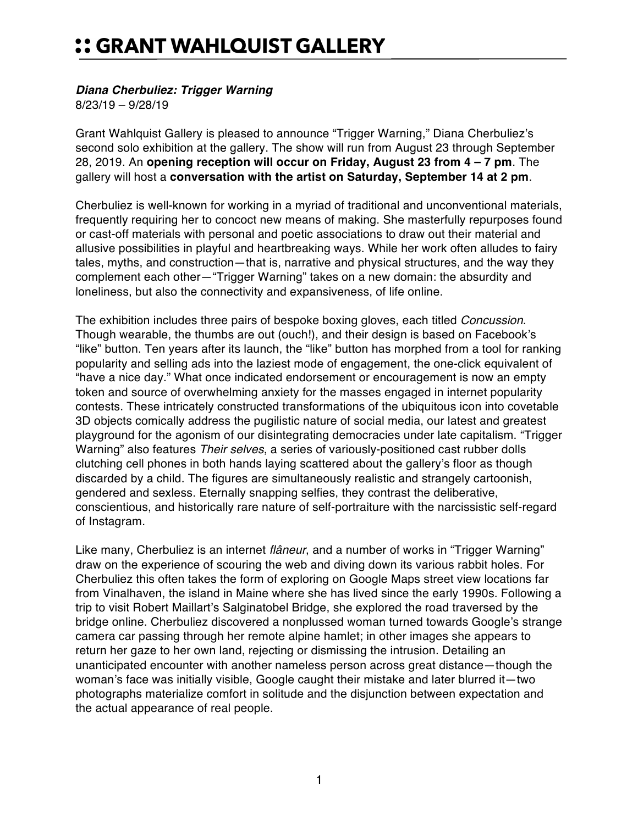## :: GRANT WAHLQUIST GALLERY

## *Diana Cherbuliez: Trigger Warning*

8/23/19 – 9/28/19

Grant Wahlquist Gallery is pleased to announce "Trigger Warning," Diana Cherbuliez's second solo exhibition at the gallery. The show will run from August 23 through September 28, 2019. An **opening reception will occur on Friday, August 23 from 4 – 7 pm**. The gallery will host a **conversation with the artist on Saturday, September 14 at 2 pm**.

Cherbuliez is well-known for working in a myriad of traditional and unconventional materials, frequently requiring her to concoct new means of making. She masterfully repurposes found or cast-off materials with personal and poetic associations to draw out their material and allusive possibilities in playful and heartbreaking ways. While her work often alludes to fairy tales, myths, and construction—that is, narrative and physical structures, and the way they complement each other—"Trigger Warning" takes on a new domain: the absurdity and loneliness, but also the connectivity and expansiveness, of life online.

The exhibition includes three pairs of bespoke boxing gloves, each titled *Concussion*. Though wearable, the thumbs are out (ouch!), and their design is based on Facebook's "like" button. Ten years after its launch, the "like" button has morphed from a tool for ranking popularity and selling ads into the laziest mode of engagement, the one-click equivalent of "have a nice day." What once indicated endorsement or encouragement is now an empty token and source of overwhelming anxiety for the masses engaged in internet popularity contests. These intricately constructed transformations of the ubiquitous icon into covetable 3D objects comically address the pugilistic nature of social media, our latest and greatest playground for the agonism of our disintegrating democracies under late capitalism. "Trigger Warning" also features *Their selves*, a series of variously-positioned cast rubber dolls clutching cell phones in both hands laying scattered about the gallery's floor as though discarded by a child. The figures are simultaneously realistic and strangely cartoonish, gendered and sexless. Eternally snapping selfies, they contrast the deliberative, conscientious, and historically rare nature of self-portraiture with the narcissistic self-regard of Instagram.

Like many, Cherbuliez is an internet *flâneur*, and a number of works in "Trigger Warning" draw on the experience of scouring the web and diving down its various rabbit holes. For Cherbuliez this often takes the form of exploring on Google Maps street view locations far from Vinalhaven, the island in Maine where she has lived since the early 1990s. Following a trip to visit Robert Maillart's Salginatobel Bridge, she explored the road traversed by the bridge online. Cherbuliez discovered a nonplussed woman turned towards Google's strange camera car passing through her remote alpine hamlet; in other images she appears to return her gaze to her own land, rejecting or dismissing the intrusion. Detailing an unanticipated encounter with another nameless person across great distance—though the woman's face was initially visible, Google caught their mistake and later blurred it—two photographs materialize comfort in solitude and the disjunction between expectation and the actual appearance of real people.